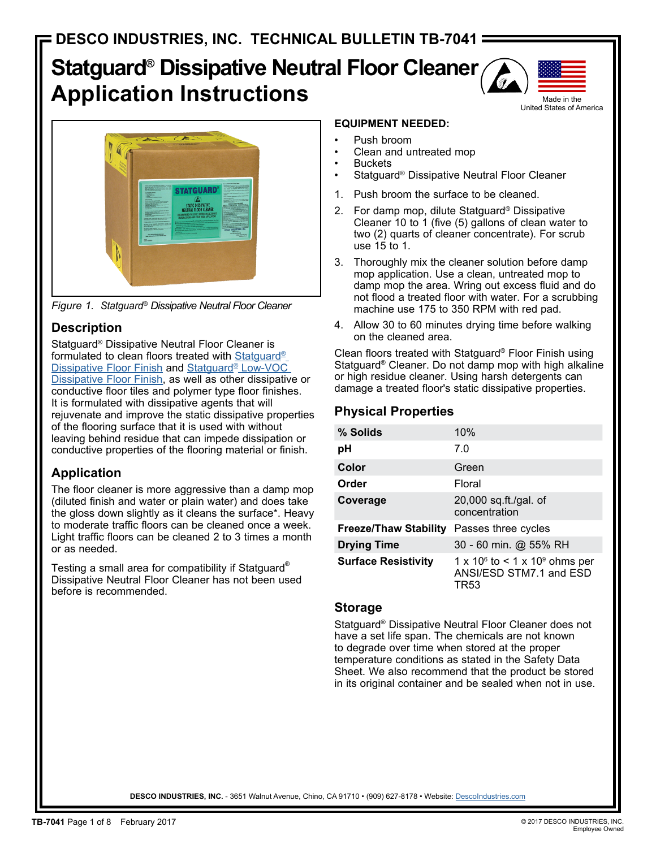# **Statguard® Dissipative Neutral Floor Cleaner Application Instructions**





*Figure 1. Statguard® Dissipative Neutral Floor Cleaner*

## **Description**

Statguard® Dissipative Neutral Floor Cleaner is formulated to clean floors treated with Statguard<sup>®</sup> Dissipative Floor Finish and Statguard® Low-VOC Dissipative Floor Finish, as well as other dissipative or conductive floor tiles and polymer type floor finishes. It is formulated with dissipative agents that will rejuvenate and improve the static dissipative properties of the flooring surface that it is used with without leaving behind residue that can impede dissipation or conductive properties of the flooring material or finish.

## **Application**

The floor cleaner is more aggressive than a damp mop (diluted finish and water or plain water) and does take the gloss down slightly as it cleans the surface\*. Heavy to moderate traffic floors can be cleaned once a week. Light traffic floors can be cleaned 2 to 3 times a month or as needed.

Testing a small area for compatibility if Statguard® Dissipative Neutral Floor Cleaner has not been used before is recommended.

### **EQUIPMENT NEEDED:**

- Push broom
- Clean and untreated mop
- **Buckets**
- Statguard® Dissipative Neutral Floor Cleaner
- 1. Push broom the surface to be cleaned.
- 2. For damp mop, dilute Statguard® Dissipative Cleaner 10 to 1 (five (5) gallons of clean water to two (2) quarts of cleaner concentrate). For scrub use 15 to 1.
- 3. Thoroughly mix the cleaner solution before damp mop application. Use a clean, untreated mop to damp mop the area. Wring out excess fluid and do not flood a treated floor with water. For a scrubbing machine use 175 to 350 RPM with red pad.
- 4. Allow 30 to 60 minutes drying time before walking on the cleaned area.

Clean floors treated with Statguard® Floor Finish using Statguard® Cleaner. Do not damp mop with high alkaline or high residue cleaner. Using harsh detergents can damage a treated floor's static dissipative properties.

## **Physical Properties**

| % Solids                     | 10%                                                                    |
|------------------------------|------------------------------------------------------------------------|
| рH                           | 7.0                                                                    |
| Color                        | Green                                                                  |
| Order                        | Floral                                                                 |
| Coverage                     | 20,000 sq.ft./gal. of<br>concentration                                 |
| <b>Freeze/Thaw Stability</b> | Passes three cycles                                                    |
| <b>Drying Time</b>           | 30 - 60 min. @ 55% RH                                                  |
| <b>Surface Resistivity</b>   | 1 x $10^6$ to < 1 x $10^9$ ohms per<br>ANSI/ESD STM7.1 and ESD<br>TR53 |

### **Storage**

Statguard® Dissipative Neutral Floor Cleaner does not have a set life span. The chemicals are not known to degrade over time when stored at the proper temperature conditions as stated in the Safety Data Sheet. We also recommend that the product be stored in its original container and be sealed when not in use.

DESCO INDUSTRIES, INC. - 3651 Walnut Avenue, Chino, CA 91710 · (909) 627-8178 · Website: Descolndustries.com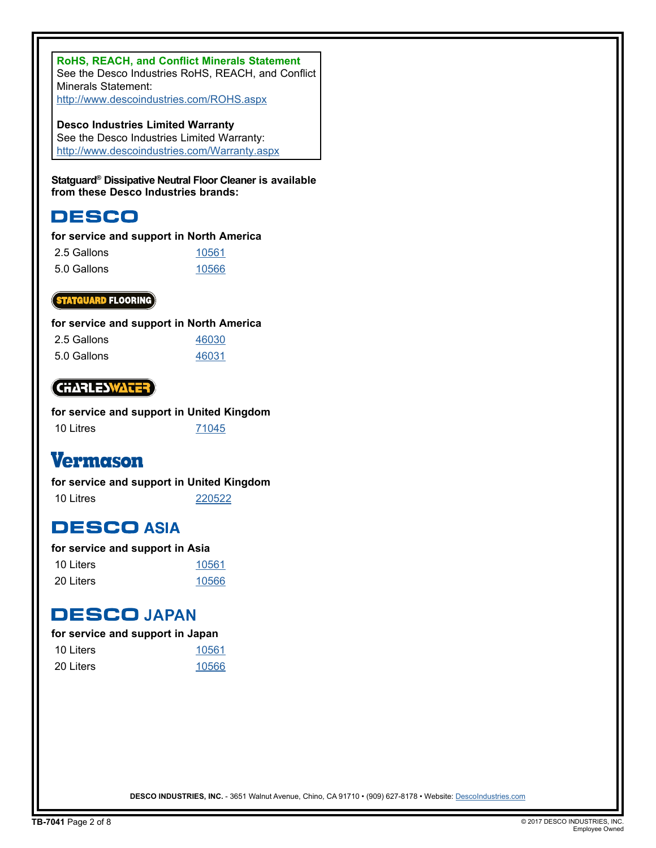**RoHS, REACH, and Conflict Minerals Statement** See the Desco Industries RoHS, REACH, and Conflict Minerals Statement: http://www.descoindustries.com/ROHS.aspx

**Desco Industries Limited Warranty** See the Desco Industries Limited Warranty: http://www.descoindustries.com/Warranty.aspx

**Statguard® Dissipative Neutral Floor Cleaner is available from these Desco Industries brands:**

## **DESCO**

#### **for service and support in North America**

| 2.5 Gallons | 10561 |
|-------------|-------|
| 5.0 Gallons | 10566 |

#### **(STATGUARD** FLOORING)

#### **for service and support in North America**

| 2.5 Gallons | 46030 |
|-------------|-------|
| 5.0 Gallons | 46031 |

### **CHARLESWATER**

|           | for service and support in United Kingdom |  |
|-----------|-------------------------------------------|--|
| 10 Litres | 71045                                     |  |

## **Vermason**

#### **for service and support in United Kingdom**

10 Litres 220522

## **DESCO ASIA**

#### **for service and support in Asia**

| 10 Liters | 10561 |
|-----------|-------|
| 20 Liters | 10566 |

## **DESCOJAPAN**

#### **for service and support in Japan**

| 10 Liters | 10561 |
|-----------|-------|
| 20 Liters | 10566 |

**DESCO INDUSTRIES, INC.** - 3651 Walnut Avenue, Chino, CA 91710 • (909) 627-8178 • Website: DescoIndustries.com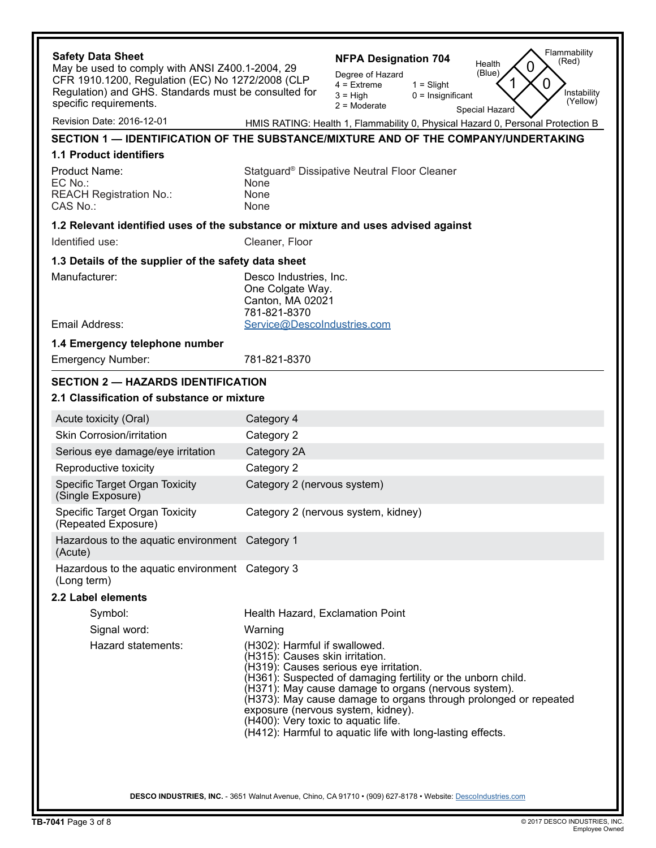| <b>Safety Data Sheet</b>                                                                            | Flammability<br><b>NFPA Designation 704</b><br>(Red)<br>Health<br>0                                                                                                                                                                                                                                                                                                                                                                               |  |
|-----------------------------------------------------------------------------------------------------|---------------------------------------------------------------------------------------------------------------------------------------------------------------------------------------------------------------------------------------------------------------------------------------------------------------------------------------------------------------------------------------------------------------------------------------------------|--|
| May be used to comply with ANSI Z400.1-2004, 29<br>CFR 1910.1200, Regulation (EC) No 1272/2008 (CLP | (Blue)<br>Degree of Hazard                                                                                                                                                                                                                                                                                                                                                                                                                        |  |
| Regulation) and GHS. Standards must be consulted for                                                | 0<br>$4 =$ Extreme<br>$1 =$ Slight<br>Instability<br>$3 = High$<br>$0 =$ Insignificant                                                                                                                                                                                                                                                                                                                                                            |  |
| specific requirements.                                                                              | (Yellow)<br>$2 =$ Moderate<br>Special Hazard                                                                                                                                                                                                                                                                                                                                                                                                      |  |
| Revision Date: 2016-12-01                                                                           | HMIS RATING: Health 1, Flammability 0, Physical Hazard 0, Personal Protection B                                                                                                                                                                                                                                                                                                                                                                   |  |
|                                                                                                     | SECTION 1 — IDENTIFICATION OF THE SUBSTANCE/MIXTURE AND OF THE COMPANY/UNDERTAKING                                                                                                                                                                                                                                                                                                                                                                |  |
| <b>1.1 Product identifiers</b>                                                                      |                                                                                                                                                                                                                                                                                                                                                                                                                                                   |  |
| Product Name:                                                                                       | Statguard <sup>®</sup> Dissipative Neutral Floor Cleaner                                                                                                                                                                                                                                                                                                                                                                                          |  |
| EC No.:<br><b>REACH Registration No.:</b>                                                           | None<br>None                                                                                                                                                                                                                                                                                                                                                                                                                                      |  |
| CAS No.:                                                                                            | None                                                                                                                                                                                                                                                                                                                                                                                                                                              |  |
|                                                                                                     | 1.2 Relevant identified uses of the substance or mixture and uses advised against                                                                                                                                                                                                                                                                                                                                                                 |  |
| Identified use:                                                                                     | Cleaner, Floor                                                                                                                                                                                                                                                                                                                                                                                                                                    |  |
| 1.3 Details of the supplier of the safety data sheet                                                |                                                                                                                                                                                                                                                                                                                                                                                                                                                   |  |
| Manufacturer:                                                                                       | Desco Industries, Inc.                                                                                                                                                                                                                                                                                                                                                                                                                            |  |
|                                                                                                     | One Colgate Way.                                                                                                                                                                                                                                                                                                                                                                                                                                  |  |
|                                                                                                     | Canton, MA 02021<br>781-821-8370                                                                                                                                                                                                                                                                                                                                                                                                                  |  |
| Email Address:                                                                                      | Service@DescoIndustries.com                                                                                                                                                                                                                                                                                                                                                                                                                       |  |
| 1.4 Emergency telephone number                                                                      |                                                                                                                                                                                                                                                                                                                                                                                                                                                   |  |
| <b>Emergency Number:</b>                                                                            | 781-821-8370                                                                                                                                                                                                                                                                                                                                                                                                                                      |  |
| <b>SECTION 2 - HAZARDS IDENTIFICATION</b>                                                           |                                                                                                                                                                                                                                                                                                                                                                                                                                                   |  |
| 2.1 Classification of substance or mixture                                                          |                                                                                                                                                                                                                                                                                                                                                                                                                                                   |  |
| Acute toxicity (Oral)                                                                               | Category 4                                                                                                                                                                                                                                                                                                                                                                                                                                        |  |
| <b>Skin Corrosion/irritation</b>                                                                    | Category 2                                                                                                                                                                                                                                                                                                                                                                                                                                        |  |
| Serious eye damage/eye irritation                                                                   | Category 2A                                                                                                                                                                                                                                                                                                                                                                                                                                       |  |
| Reproductive toxicity                                                                               | Category 2                                                                                                                                                                                                                                                                                                                                                                                                                                        |  |
| Specific Target Organ Toxicity<br>(Single Exposure)                                                 | Category 2 (nervous system)                                                                                                                                                                                                                                                                                                                                                                                                                       |  |
| Specific Target Organ Toxicity<br>(Repeated Exposure)                                               | Category 2 (nervous system, kidney)                                                                                                                                                                                                                                                                                                                                                                                                               |  |
| Hazardous to the aquatic environment Category 1                                                     |                                                                                                                                                                                                                                                                                                                                                                                                                                                   |  |
| (Acute)<br>Hazardous to the aquatic environment Category 3                                          |                                                                                                                                                                                                                                                                                                                                                                                                                                                   |  |
| (Long term)                                                                                         |                                                                                                                                                                                                                                                                                                                                                                                                                                                   |  |
| 2.2 Label elements                                                                                  |                                                                                                                                                                                                                                                                                                                                                                                                                                                   |  |
| Symbol:                                                                                             | Health Hazard, Exclamation Point                                                                                                                                                                                                                                                                                                                                                                                                                  |  |
| Signal word:                                                                                        | Warning                                                                                                                                                                                                                                                                                                                                                                                                                                           |  |
| Hazard statements:                                                                                  | (H302): Harmful if swallowed.<br>(H315): Causes skin irritation.<br>(H319): Causes serious eye irritation.<br>(H361): Suspected of damaging fertility or the unborn child.<br>(H371): May cause damage to organs (nervous system).<br>(H373): May cause damage to organs through prolonged or repeated<br>exposure (nervous system, kidney).<br>(H400): Very toxic to aquatic life.<br>(H412): Harmful to aquatic life with long-lasting effects. |  |
|                                                                                                     | DESCO INDUSTRIES, INC. - 3651 Walnut Avenue, Chino, CA 91710 • (909) 627-8178 • Website: Descolndustries.com                                                                                                                                                                                                                                                                                                                                      |  |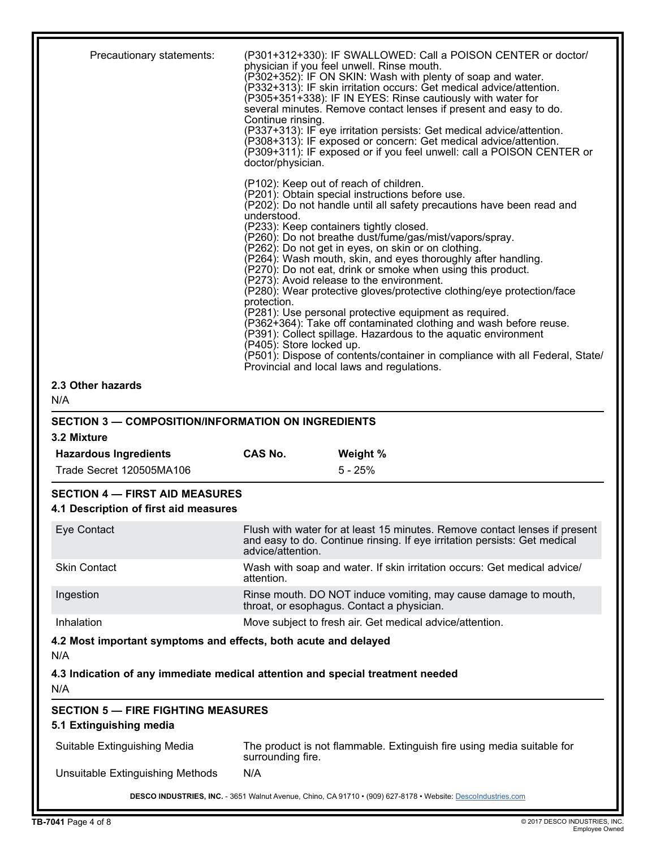| Precautionary statements:                                                      | (P301+312+330): IF SWALLOWED: Call a POISON CENTER or doctor/<br>physician if you feel unwell. Rinse mouth.<br>(P302+352): IF ON SKIN: Wash with plenty of soap and water.<br>(P332+313): IF skin irritation occurs: Get medical advice/attention.<br>(P305+351+338): IF IN EYES: Rinse cautiously with water for<br>several minutes. Remove contact lenses if present and easy to do.<br>Continue rinsing.<br>(P337+313): IF eye irritation persists: Get medical advice/attention.<br>(P308+313): IF exposed or concern: Get medical advice/attention.<br>(P309+311): IF exposed or if you feel unwell: call a POISON CENTER or<br>doctor/physician.                                                                                                                                                                                                                                                                                                                   |
|--------------------------------------------------------------------------------|--------------------------------------------------------------------------------------------------------------------------------------------------------------------------------------------------------------------------------------------------------------------------------------------------------------------------------------------------------------------------------------------------------------------------------------------------------------------------------------------------------------------------------------------------------------------------------------------------------------------------------------------------------------------------------------------------------------------------------------------------------------------------------------------------------------------------------------------------------------------------------------------------------------------------------------------------------------------------|
|                                                                                | (P102): Keep out of reach of children.<br>(P201): Obtain special instructions before use.<br>(P202): Do not handle until all safety precautions have been read and<br>understood.<br>(P233): Keep containers tightly closed.<br>P260): Do not breathe dust/fume/gas/mist/vapors/spray.<br>P262): Do not get in eyes, on skin or on clothing.<br>P264): Wash mouth, skin, and eyes thoroughly after handling.<br>P270): Do not eat, drink or smoke when using this product.<br>P273): Avoid release to the environment.<br>(P280): Wear protective gloves/protective clothing/eye protection/face<br>protection.<br>(P281): Use personal protective equipment as required.<br>(P362+364): Take off contaminated clothing and wash before reuse.<br>P391): Collect spillage. Hazardous to the aquatic environment<br>P405): Store locked up.<br>(P501): Dispose of contents/container in compliance with all Federal, State/<br>Provincial and local laws and regulations. |
| 2.3 Other hazards                                                              |                                                                                                                                                                                                                                                                                                                                                                                                                                                                                                                                                                                                                                                                                                                                                                                                                                                                                                                                                                          |
| N/A                                                                            |                                                                                                                                                                                                                                                                                                                                                                                                                                                                                                                                                                                                                                                                                                                                                                                                                                                                                                                                                                          |
| <b>SECTION 3 - COMPOSITION/INFORMATION ON INGREDIENTS</b>                      |                                                                                                                                                                                                                                                                                                                                                                                                                                                                                                                                                                                                                                                                                                                                                                                                                                                                                                                                                                          |
|                                                                                |                                                                                                                                                                                                                                                                                                                                                                                                                                                                                                                                                                                                                                                                                                                                                                                                                                                                                                                                                                          |
| 3.2 Mixture                                                                    | <b>CAS No.</b>                                                                                                                                                                                                                                                                                                                                                                                                                                                                                                                                                                                                                                                                                                                                                                                                                                                                                                                                                           |
| <b>Hazardous Ingredients</b><br>Trade Secret 120505MA106                       | Weight %<br>$5 - 25%$                                                                                                                                                                                                                                                                                                                                                                                                                                                                                                                                                                                                                                                                                                                                                                                                                                                                                                                                                    |
| <b>SECTION 4 - FIRST AID MEASURES</b><br>4.1 Description of first aid measures |                                                                                                                                                                                                                                                                                                                                                                                                                                                                                                                                                                                                                                                                                                                                                                                                                                                                                                                                                                          |
| Eye Contact                                                                    | Flush with water for at least 15 minutes. Remove contact lenses if present<br>and easy to do. Continue rinsing. If eye irritation persists: Get medical<br>advice/attention.                                                                                                                                                                                                                                                                                                                                                                                                                                                                                                                                                                                                                                                                                                                                                                                             |
| <b>Skin Contact</b>                                                            | Wash with soap and water. If skin irritation occurs: Get medical advice/<br>attention.                                                                                                                                                                                                                                                                                                                                                                                                                                                                                                                                                                                                                                                                                                                                                                                                                                                                                   |
| Ingestion                                                                      | Rinse mouth. DO NOT induce vomiting, may cause damage to mouth,                                                                                                                                                                                                                                                                                                                                                                                                                                                                                                                                                                                                                                                                                                                                                                                                                                                                                                          |
| Inhalation                                                                     | throat, or esophagus. Contact a physician.<br>Move subject to fresh air. Get medical advice/attention.                                                                                                                                                                                                                                                                                                                                                                                                                                                                                                                                                                                                                                                                                                                                                                                                                                                                   |
| 4.2 Most important symptoms and effects, both acute and delayed                |                                                                                                                                                                                                                                                                                                                                                                                                                                                                                                                                                                                                                                                                                                                                                                                                                                                                                                                                                                          |
| N/A<br>N/A                                                                     | 4.3 Indication of any immediate medical attention and special treatment needed                                                                                                                                                                                                                                                                                                                                                                                                                                                                                                                                                                                                                                                                                                                                                                                                                                                                                           |
| <b>SECTION 5 - FIRE FIGHTING MEASURES</b>                                      |                                                                                                                                                                                                                                                                                                                                                                                                                                                                                                                                                                                                                                                                                                                                                                                                                                                                                                                                                                          |
| 5.1 Extinguishing media<br>Suitable Extinguishing Media                        | The product is not flammable. Extinguish fire using media suitable for                                                                                                                                                                                                                                                                                                                                                                                                                                                                                                                                                                                                                                                                                                                                                                                                                                                                                                   |
| Unsuitable Extinguishing Methods                                               | surrounding fire.<br>N/A                                                                                                                                                                                                                                                                                                                                                                                                                                                                                                                                                                                                                                                                                                                                                                                                                                                                                                                                                 |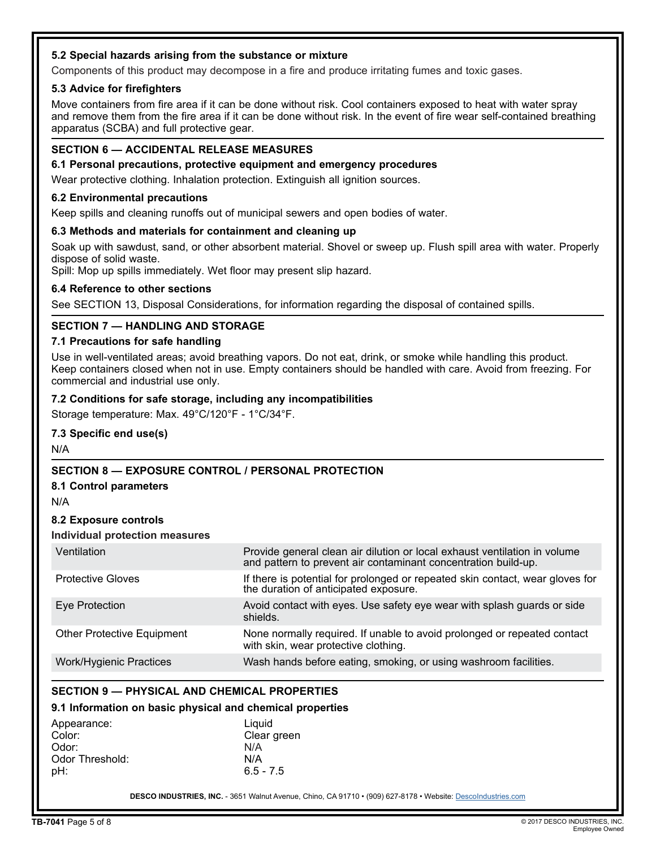#### **5.2 Special hazards arising from the substance or mixture**

Components of this product may decompose in a fire and produce irritating fumes and toxic gases.

#### **5.3 Advice for firefighters**

Move containers from fire area if it can be done without risk. Cool containers exposed to heat with water spray and remove them from the fire area if it can be done without risk. In the event of fire wear self-contained breathing apparatus (SCBA) and full protective gear.

#### **SECTION 6 — ACCIDENTAL RELEASE MEASURES**

**6.1 Personal precautions, protective equipment and emergency procedures**

Wear protective clothing. Inhalation protection. Extinguish all ignition sources.

#### **6.2 Environmental precautions**

Keep spills and cleaning runoffs out of municipal sewers and open bodies of water.

#### **6.3 Methods and materials for containment and cleaning up**

Soak up with sawdust, sand, or other absorbent material. Shovel or sweep up. Flush spill area with water. Properly dispose of solid waste.

Spill: Mop up spills immediately. Wet floor may present slip hazard.

#### **6.4 Reference to other sections**

See SECTION 13, Disposal Considerations, for information regarding the disposal of contained spills.

#### **SECTION 7 — HANDLING AND STORAGE**

#### **7.1 Precautions for safe handling**

Use in well-ventilated areas; avoid breathing vapors. Do not eat, drink, or smoke while handling this product. Keep containers closed when not in use. Empty containers should be handled with care. Avoid from freezing. For commercial and industrial use only.

#### **7.2 Conditions for safe storage, including any incompatibilities**

Storage temperature: Max. 49°C/120°F - 1°C/34°F.

#### **7.3 Specific end use(s)**

N/A

#### **SECTION 8 — EXPOSURE CONTROL / PERSONAL PROTECTION**

#### **8.1 Control parameters**

N/A

#### **8.2 Exposure controls**

#### **Individual protection measures**

| Ventilation                       | Provide general clean air dilution or local exhaust ventilation in volume<br>and pattern to prevent air contaminant concentration build-up. |
|-----------------------------------|---------------------------------------------------------------------------------------------------------------------------------------------|
| <b>Protective Gloves</b>          | If there is potential for prolonged or repeated skin contact, wear gloves for<br>the duration of anticipated exposure.                      |
| Eye Protection                    | Avoid contact with eyes. Use safety eye wear with splash guards or side<br>shields.                                                         |
| <b>Other Protective Equipment</b> | None normally required. If unable to avoid prolonged or repeated contact<br>with skin, wear protective clothing.                            |
| <b>Work/Hygienic Practices</b>    | Wash hands before eating, smoking, or using washroom facilities.                                                                            |

#### **SECTION 9 — PHYSICAL AND CHEMICAL PROPERTIES**

#### **9.1 Information on basic physical and chemical properties**

| Appearance:     | Liguid      |
|-----------------|-------------|
| Color:          | Clear green |
| Odor:           | N/A         |
| Odor Threshold: | N/A         |
| pH:             | $6.5 - 7.5$ |

**DESCO INDUSTRIES, INC.** - 3651 Walnut Avenue, Chino, CA 91710 • (909) 627-8178 • Website: DescoIndustries.com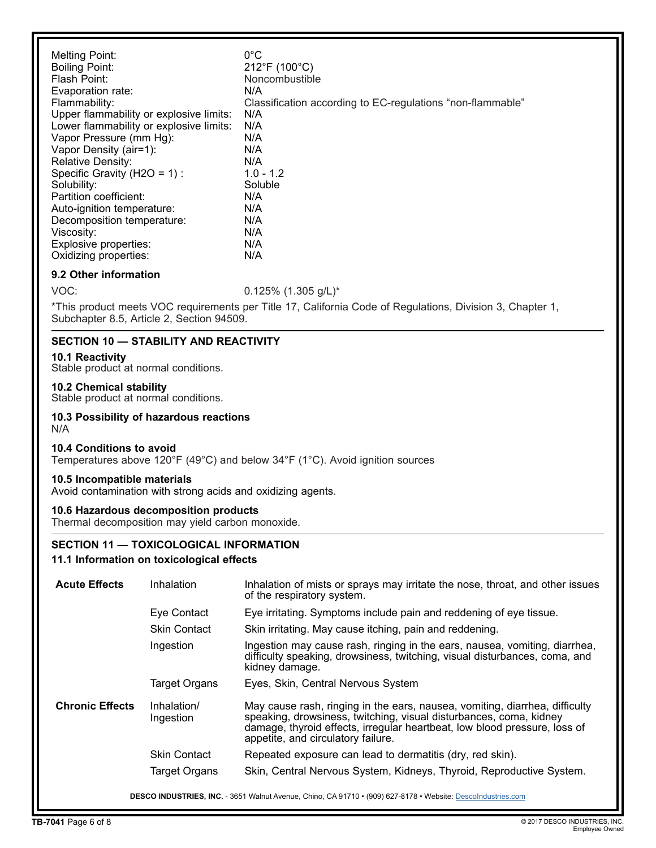#### **9.2 Other information**

VOC: 0.125% (1.305 g/L)\*

\*This product meets VOC requirements per Title 17, California Code of Regulations, Division 3, Chapter 1, Subchapter 8.5, Article 2, Section 94509.

#### **SECTION 10 — STABILITY AND REACTIVITY**

#### **10.1 Reactivity**

Stable product at normal conditions.

#### **10.2 Chemical stability**

Stable product at normal conditions.

#### **10.3 Possibility of hazardous reactions** N/A

#### **10.4 Conditions to avoid**

Temperatures above 120°F (49°C) and below 34°F (1°C). Avoid ignition sources

#### **10.5 Incompatible materials**

Avoid contamination with strong acids and oxidizing agents.

#### **10.6 Hazardous decomposition products**

Thermal decomposition may yield carbon monoxide.

#### **SECTION 11 — TOXICOLOGICAL INFORMATION**

#### **11.1 Information on toxicological effects**

| <b>Acute Effects</b>   | Inhalation               | Inhalation of mists or sprays may irritate the nose, throat, and other issues<br>of the respiratory system.                                                                                                                                                          |
|------------------------|--------------------------|----------------------------------------------------------------------------------------------------------------------------------------------------------------------------------------------------------------------------------------------------------------------|
|                        | Eye Contact              | Eye irritating. Symptoms include pain and reddening of eye tissue.                                                                                                                                                                                                   |
|                        | <b>Skin Contact</b>      | Skin irritating. May cause itching, pain and reddening.                                                                                                                                                                                                              |
|                        | Ingestion                | Ingestion may cause rash, ringing in the ears, nausea, vomiting, diarrhea,<br>difficulty speaking, drowsiness, twitching, visual disturbances, coma, and<br>kidney damage.                                                                                           |
|                        | <b>Target Organs</b>     | Eyes, Skin, Central Nervous System                                                                                                                                                                                                                                   |
| <b>Chronic Effects</b> | Inhalation/<br>Ingestion | May cause rash, ringing in the ears, nausea, vomiting, diarrhea, difficulty<br>speaking, drowsiness, twitching, visual disturbances, coma, kidney<br>damage, thyroid effects, irregular heartbeat, low blood pressure, loss of<br>appetite, and circulatory failure. |
|                        | <b>Skin Contact</b>      | Repeated exposure can lead to dermatitis (dry, red skin).                                                                                                                                                                                                            |
|                        | Target Organs            | Skin, Central Nervous System, Kidneys, Thyroid, Reproductive System.                                                                                                                                                                                                 |
|                        |                          | DESCO INDUSTRIES, INC. - 3651 Walnut Avenue, Chino, CA 91710 • (909) 627-8178 • Website: Descolndustries.com                                                                                                                                                         |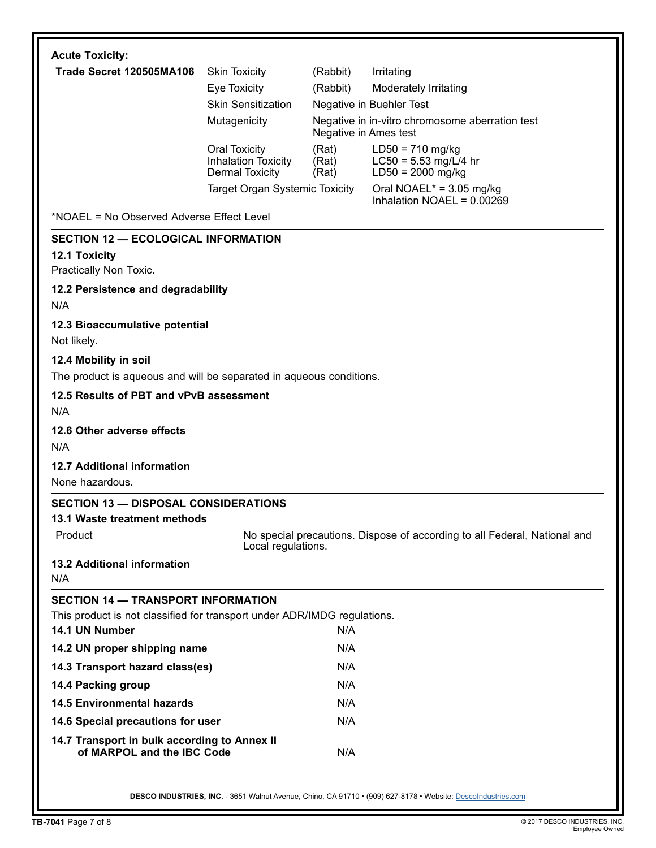| <b>Acute Toxicity:</b>                                                     |                                                                              |                         |                                                                           |  |
|----------------------------------------------------------------------------|------------------------------------------------------------------------------|-------------------------|---------------------------------------------------------------------------|--|
| Trade Secret 120505MA106                                                   | <b>Skin Toxicity</b>                                                         | (Rabbit)                | Irritating                                                                |  |
|                                                                            | Eye Toxicity                                                                 | (Rabbit)                | Moderately Irritating                                                     |  |
|                                                                            | <b>Skin Sensitization</b>                                                    |                         | Negative in Buehler Test                                                  |  |
|                                                                            | Mutagenicity                                                                 |                         | Negative in in-vitro chromosome aberration test<br>Negative in Ames test  |  |
|                                                                            | <b>Oral Toxicity</b><br><b>Inhalation Toxicity</b><br><b>Dermal Toxicity</b> | (Rat)<br>(Rat)<br>(Rat) | $LD50 = 710$ mg/kg<br>$LC50 = 5.53$ mg/L/4 hr<br>$LD50 = 2000$ mg/kg      |  |
|                                                                            | <b>Target Organ Systemic Toxicity</b>                                        |                         | Oral NOAEL* = $3.05$ mg/kg<br>Inhalation NOAEL = $0.00269$                |  |
| *NOAEL = No Observed Adverse Effect Level                                  |                                                                              |                         |                                                                           |  |
| <b>SECTION 12 - ECOLOGICAL INFORMATION</b>                                 |                                                                              |                         |                                                                           |  |
| 12.1 Toxicity                                                              |                                                                              |                         |                                                                           |  |
| Practically Non Toxic.                                                     |                                                                              |                         |                                                                           |  |
| 12.2 Persistence and degradability<br>N/A                                  |                                                                              |                         |                                                                           |  |
| 12.3 Bioaccumulative potential<br>Not likely.                              |                                                                              |                         |                                                                           |  |
| 12.4 Mobility in soil                                                      |                                                                              |                         |                                                                           |  |
| The product is aqueous and will be separated in aqueous conditions.        |                                                                              |                         |                                                                           |  |
| 12.5 Results of PBT and vPvB assessment<br>N/A                             |                                                                              |                         |                                                                           |  |
| 12.6 Other adverse effects                                                 |                                                                              |                         |                                                                           |  |
| N/A                                                                        |                                                                              |                         |                                                                           |  |
| 12.7 Additional information                                                |                                                                              |                         |                                                                           |  |
| None hazardous.                                                            |                                                                              |                         |                                                                           |  |
| <b>SECTION 13 - DISPOSAL CONSIDERATIONS</b>                                |                                                                              |                         |                                                                           |  |
| 13.1 Waste treatment methods                                               |                                                                              |                         |                                                                           |  |
| Product                                                                    | Local regulations.                                                           |                         | No special precautions. Dispose of according to all Federal, National and |  |
| 13.2 Additional information<br>N/A                                         |                                                                              |                         |                                                                           |  |
| <b>SECTION 14 - TRANSPORT INFORMATION</b>                                  |                                                                              |                         |                                                                           |  |
| This product is not classified for transport under ADR/IMDG regulations.   |                                                                              |                         |                                                                           |  |
| 14.1 UN Number                                                             |                                                                              | N/A                     |                                                                           |  |
| 14.2 UN proper shipping name                                               |                                                                              | N/A                     |                                                                           |  |
| 14.3 Transport hazard class(es)                                            |                                                                              | N/A                     |                                                                           |  |
| 14.4 Packing group                                                         |                                                                              | N/A                     |                                                                           |  |
| <b>14.5 Environmental hazards</b>                                          |                                                                              | N/A                     |                                                                           |  |
| 14.6 Special precautions for user                                          |                                                                              | N/A                     |                                                                           |  |
| 14.7 Transport in bulk according to Annex II<br>of MARPOL and the IBC Code |                                                                              | N/A                     |                                                                           |  |
|                                                                            |                                                                              |                         |                                                                           |  |

DESCO INDUSTRIES, INC. - 3651 Walnut Avenue, Chino, CA 91710 • (909) 627-8178 • Website: Descolndustries.com